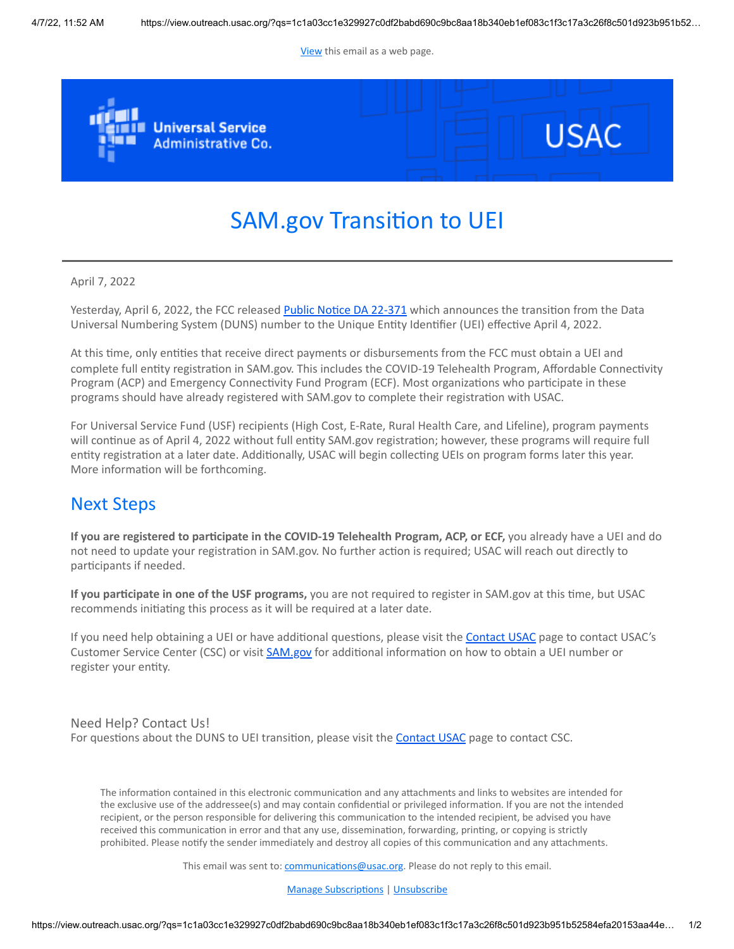[View](https://view.outreach.usac.org/?qs=1c1a03cc1e329927c0df2babd690c9bc8aa18b340eb1ef083c1f3c17a3c26f8c501d923b951b52584efa20153aa44eeedbbfb3adf7bb0cf1978bb6ffd36e59209b139ae2dce7b044476047a1d41d780e) this email as a web page.



## SAM.gov Transition to UEI

April 7, 2022

Yesterday, April 6, 2022, the FCC released [Public Notice DA 22-371](https://click.outreach.usac.org/?qs=d03871597ddb8c42762e07d5d24b4fcd62960185af5e508c098c5b0e4c928389d918d1fcec4db5b33d69f2af7cc854a9174b74b33127727a) which announces the transition from the Data Universal Numbering System (DUNS) number to the Unique Entity Identifier (UEI) effective April 4, 2022.

At this time, only entities that receive direct payments or disbursements from the FCC must obtain a UEI and complete full entity registration in SAM.gov. This includes the COVID-19 Telehealth Program, Affordable Connectivity Program (ACP) and Emergency Connectivity Fund Program (ECF). Most organizations who participate in these programs should have already registered with SAM.gov to complete their registration with USAC.

For Universal Service Fund (USF) recipients (High Cost, E-Rate, Rural Health Care, and Lifeline), program payments will continue as of April 4, 2022 without full entity SAM.gov registration; however, these programs will require full entity registration at a later date. Additionally, USAC will begin collecting UEIs on program forms later this year. More information will be forthcoming.

## Next Steps

**If you are registered to participate in the COVID-19 Telehealth Program, ACP, or ECF,** you already have a UEI and do not need to update your registration in SAM.gov. No further action is required; USAC will reach out directly to participants if needed.

**If you participate in one of the USF programs,** you are not required to register in SAM.gov at this time, but USAC recommends initiating this process as it will be required at a later date.

If you need help obtaining a UEI or have additional questions, please visit the [Contact USAC](https://click.outreach.usac.org/?qs=d03871597ddb8c4269b21622cce77e0bdabd815dda315d52ba63a5da97156b1d910d23f6bf0aefdc4b23e43a67033b93283738fb13fbfe07) page to contact USAC's Customer Service Center (CSC) or visit [SAM.gov](https://click.outreach.usac.org/?qs=d03871597ddb8c42fdeaa3a9e201b7f58939851e79fd44154d0f58243806e856fde0fba34ab52ed8a24091db22b6b4cce1922c94c637c79e) for additional information on how to obtain a UEI number or register your entity.

## Need Help? Contact Us! For questions about the DUNS to UEI transition, please visit the **Contact USAC** page to contact CSC.

The information contained in this electronic communication and any attachments and links to websites are intended for the exclusive use of the addressee(s) and may contain confidential or privileged information. If you are not the intended recipient, or the person responsible for delivering this communication to the intended recipient, be advised you have received this communication in error and that any use, dissemination, forwarding, printing, or copying is strictly prohibited. Please notify the sender immediately and destroy all copies of this communication and any attachments.

This email was sent to: [communications@usac.org](https://click.outreach.usac.org/?qs=d03871597ddb8c425c37e497b32ba77348ffe967a424733ef76423623e552448ad53d13183d9a288d607305c931015f6cf303df297dc0475). Please do not reply to this email.

[Manage Subscriptions](https://click.outreach.usac.org/?qs=d03871597ddb8c42ae9e9b0e2b66956b72bbe8c7bdb176b81845817538165cb702f5dc91a00eb250bc5d10a7537b94fa5e9068b9bc96f830) | [Unsubscribe](https://click.outreach.usac.org/?qs=d03871597ddb8c4211e5b8468f2d5bdc3297d5587b9312141932d39ad80987cbe11de9b0817c50ea08ee708b573434b94cfbfa30794c9db0)